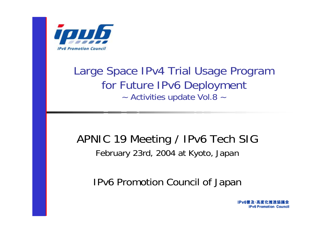

#### Large Space IPv4 Trial Usage Program for Future IPv6 Deployment ~ Activities update Vol.8 ~

#### APNIC 19 Meeting / IPv6 Tech SIG February 23rd, 2004 at Kyoto, Japan

#### IPv6 Promotion Council of Japan

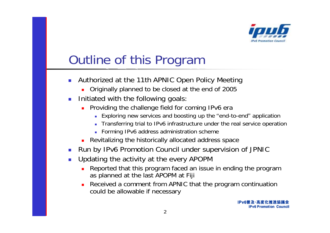

## Outline of this Program

- $\mathbb{R}^3$  Authorized at the 11th APNIC Open Policy Meeting
	- **Driginally planned to be closed at the end of 2005**
- $\mathcal{C}^{\mathcal{A}}$  Initiated with the following goals:
	- **Providing the challenge field for coming IPv6 era** 
		- Exploring new services and boosting up the "end-to-end" application
		- Transferring trial to IPv6 infrastructure under the real service operation
		- Forming IPv6 address administration scheme
	- **Revitalizing the historically allocated address space**
- $\mathcal{L}$ Run by IPv6 Promotion Council under supervision of JPNIC
- $\mathcal{L}$  Updating the activity at the every APOPM
	- □ Reported that this program faced an issue in ending the program as planned at the last APOPM at Fiji
	- □ Received a comment from APNIC that the program continuation could be allowable if necessary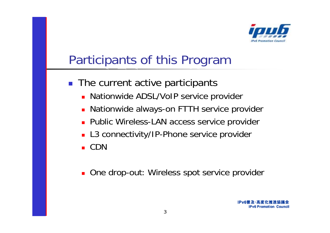

## Participants of this Program

- **The current active participants** 
	- **Nationwide ADSL/VoIP service provider**
	- **Nationwide always-on FTTH service provider**
	- **Public Wireless-LAN access service provider**
	- L3 connectivity/IP-Phone service provider

■ CDN

**Diam-Branch Charace School Charace School Charace School n**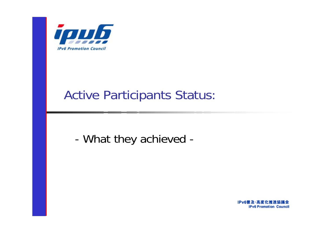

#### Active Participants Status:

-What they achieved -

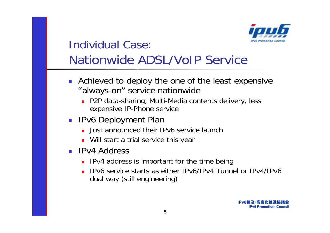

#### Individual Case:Nationwide ADSL/VoIP Service

- **Achieved to deploy the one of the least expensive** "always-on" service nationwide
	- P2P data-sharing, Multi-Media contents delivery, less expensive IP-Phone service
- IPv6 Deployment Plan
	- **Just announced their IPv6 service launch**
	- **Nill start a trial service this year**
- **IPv4 Address** 
	- **IPv4** address is important for the time being
	- IPv6 service starts as either IPv6/IPv4 Tunnel or IPv4/IPv6 dual way (still engineering)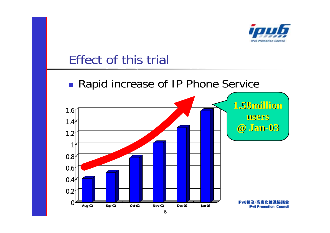

#### Effect of this trial

#### **Rapid increase of IP Phone Service**

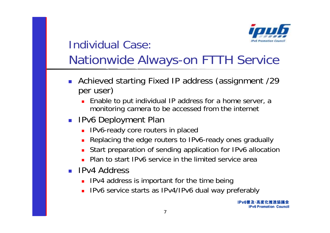

#### Individual Case:Nationwide Always-on FTTH Service

- **Achieved starting Fixed IP address (assignment /29** per user)
	- **Enable to put individual IP address for a home server, a** monitoring camera to be accessed from the internet
- IPv6 Deployment Plan
	- **IPv6-ready core routers in placed**
	- П Replacing the edge routers to IPv6-ready ones gradually
	- Start preparation of sending application for IPv6 allocation
	- **Plan to start IPv6 service in the limited service area**
- **IPv4 Address** 
	- **IPV4 address is important for the time being**
	- **IPv6** service starts as IPv4/IPv6 dual way preferably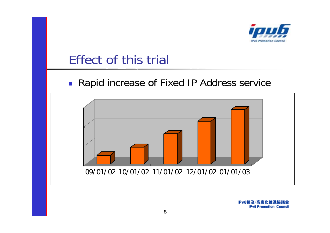

#### Effect of this trial

#### ■ Rapid increase of Fixed IP Address service

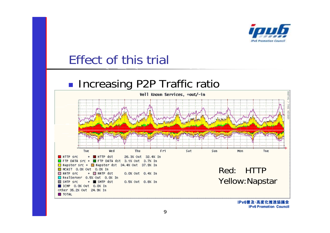

#### Effect of this trial

#### p. **Increasing P2P Traffic ratio**

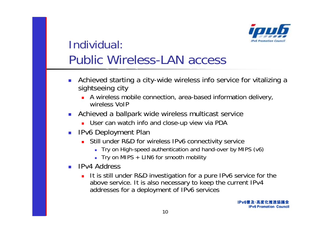

#### Individual:Public Wireless-LAN access

- $\overline{\phantom{a}}$  Achieved starting a city-wide wireless info service for vitalizing a sightseeing city
	- A wireless mobile connection, area-based information delivery, wireless VoIP
- $\mathcal{L}_{\mathcal{A}}$  Achieved a ballpark wide wireless multicast service
	- **Deap 1** User can watch info and close-up view via PDA
- **IPv6 Deployment Plan** 
	- Still under R&D for wireless IPv6 connectivity service
		- Try on High-speed authentication and hand-over by MIPS (v6)
		- Try on MIPS + LIN6 for smooth mobility
- **IPv4 Address** 
	- $\blacksquare$  It is still under R&D investigation for a pure IPv6 service for the above service. It is also necessary to keep the current IPv4 addresses for a deployment of IPv6 services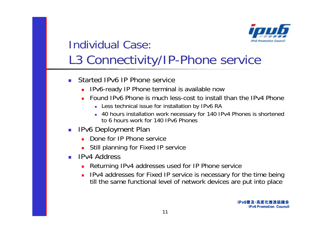

#### Individual Case:L3 Connectivity/IP-Phone service

- $\sim 1$  Started IPv6 IP Phone service
	- **IPV6-ready IP Phone terminal is available now**
	- Found IPv6 Phone is much less-cost to install than the IPv4 Phone
		- Less technical issue for installation by IPv6 RA
		- 40 hours installation work necessary for 140 IPv4 Phones is shortened to 6 hours work for 140 IPv6 Phones
- **IPv6 Deployment Plan** 
	- Done for IP Phone service
	- **Still planning for Fixed IP service**
- **IPv4 Address** 
	- □ Returning IPv4 addresses used for IP Phone service
	- IPv4 addresses for Fixed IP service is necessary for the time being till the same functional level of network devices are put into place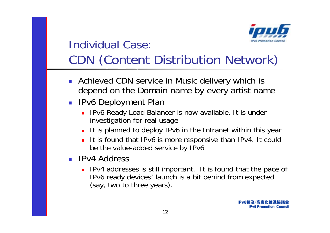

### Individual Case:CDN (Content Distribution Network)

- **Achieved CDN service in Music delivery which is** depend on the Domain name by every artist name
- IPv6 Deployment Plan
	- **IPv6 Ready Load Balancer is now available. It is under** investigation for real usage
	- П It is planned to deploy IPv6 in the Intranet within this year
	- П It is found that IPv6 is more responsive than IPv4. It could be the value-added service by IPv6
- **IPv4 Address** 
	- **IPV4** addresses is still important. It is found that the pace of IPv6 ready devices' launch is a bit behind from expected (say, two to three years).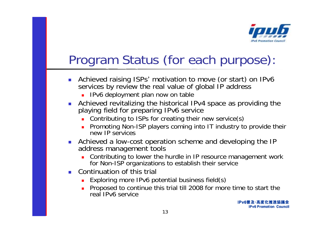

## Program Status (for each purpose):

- $\mathcal{C}$  Achieved raising ISPs' motivation to move (or start) on IPv6 services by review the real value of global IP address
	- **IPv6 deployment plan now on table**
- $\mathcal{L}_{\mathcal{A}}$  Achieved revitalizing the historical IPv4 space as providing the playing field for preparing IPv6 service
	- **Contributing to ISPs for creating their new service(s)**
	- **Promoting Non-ISP players coming into IT industry to provide their** new IP services
- **Achieved a low-cost operation scheme and developing the IP** address management tools
	- **EXT** Contributing to lower the hurdle in IP resource management work for Non-ISP organizations to establish their service
- **Continuation of this trial** 
	- **Exploring more IPv6 potential business field(s)**
	- **Proposed to continue this trial till 2008 for more time to start the** real IPv6 service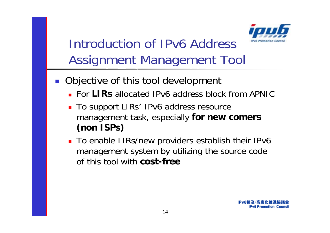

## Introduction of IPv6 Address Assignment Management Tool

- **Objective of this tool development** 
	- For **LIRs** allocated IPv6 address block from APNIC
	- To support LIRs' IPv6 address resource management task, especially **for new comers (non ISPs)**
	- To enable LIRs/new providers establish their IPv6 management system by utilizing the source code of this tool with **cost-free**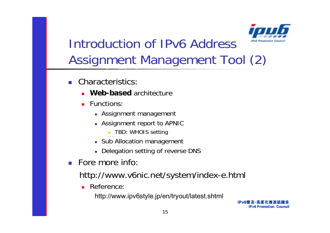

## Introduction of IPv6 Address Assignment Management Tool (2)

- **Characteristics:** 
	- **Web-based** architecture
	- **Functions:** 
		- **Assignment management**
		- Assignment report to APNIC
			- **TBD: WHOIS setting**
		- **Sub Allocation management**
		- **Delegation setting of reverse DNS**
- Fore more info:
	- http://www.v6nic.net/system/index-e.html
		- **Reference:**

http://www.ipv6style.jp/en/tryout/latest.shtml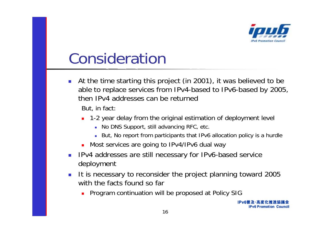

# Consideration

 $\mathcal{C}^{\mathcal{A}}$  At the time starting this project (in 2001), it was believed to be able to replace services from IPv4-based to IPv6-based by 2005, then IPv4 addresses can be returned

But, in fact:

- 1-2 year delay from the original estimation of deployment level
	- No DNS Support, still advancing RFC, etc.
	- But, No report from participants that IPv6 allocation policy is a hurdle
- **Most services are going to IPv4/IPv6 dual way**
- $\mathcal{A}$  IPv4 addresses are still necessary for IPv6-based service deployment
- $\mathcal{A}$  It is necessary to reconsider the project planning toward 2005 with the facts found so far
	- **Program continuation will be proposed at Policy SIG**